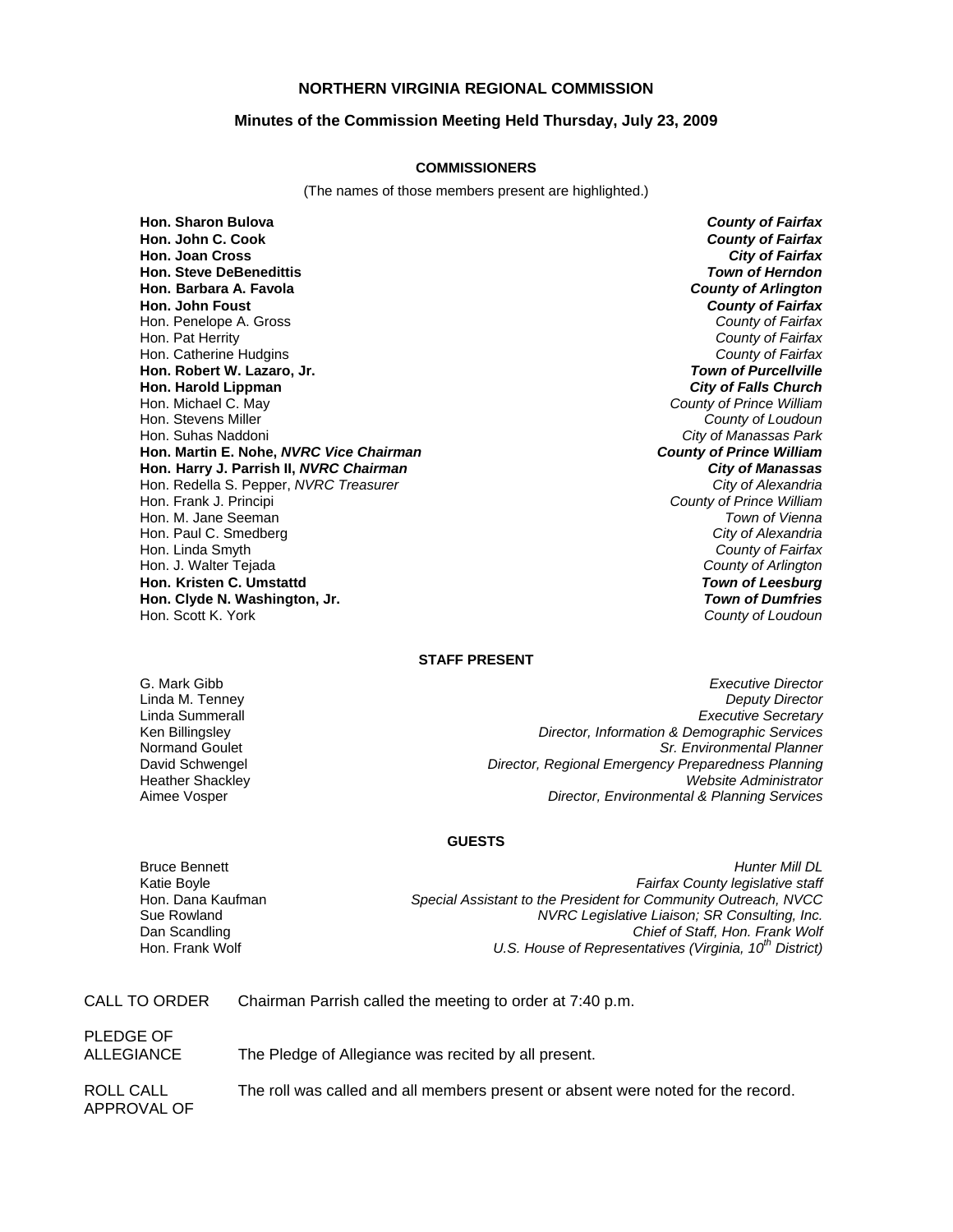## **NORTHERN VIRGINIA REGIONAL COMMISSION**

## **Minutes of the Commission Meeting Held Thursday, July 23, 2009**

### **COMMISSIONERS**

(The names of those members present are highlighted.)

**Hon. Sharon Bulova** *County of Fairfax* **Hon. John C. Cook** *County of Fairfax* **Hon. Joan Cross Hon. Steve DeBenedittis** *Town of Herndon* **Hon. Barbara A. Favola** *County of Arlington* **Hon. John Foust** *County of Fairfax* Hon. Penelope A. Gross *County of Fairfax* Hon. Pat Herrity *County of Fairfax* Hon. Catherine Hudgins *County of Fairfax* **Hon. Robert W. Lazaro, Jr.** *Town of Purcellville* **Hon. Harold Lippman**<br>**Hon. Michael C. May** Hon. Michael C. May *County of Prince William* Hon. Stevens Miller *County of Loudoun* **Hon. Martin E. Nohe,** *NVRC Vice Chairman* **Hon. Harry J. Parrish II,** *NVRC Chairman City of Manassas* Hon. Redella S. Pepper, *NVRC Treasurer City of Alexandria* Hon. Frank J. Principi *County of Prince William* Hon. M. Jane Seeman *Town of Vienna* Hon. Paul C. Smedberg *City of Alexandria* Hon. Linda Smyth *County of Fairfax* Hon. J. Walter Tejada *County of Arlington* **Hon. Kristen C. Umstattd** *Town of Leesburg* **Hon. Clyde N. Washington, Jr.** *Town of Dumfries*

**City of Manassas Park**<br>**County of Prince William** Hon. Scott K. York *County of Loudoun*

# **STAFF PRESENT**

G. Mark Gibb *Executive Director* Linda M. Tenney *Deputy Director* Linda Summerall *Executive Secretary* Ken Billingsley *Director, Information & Demographic Services* Normand Goulet *Sr. Environmental Planner* David Schwengel *Director, Regional Emergency Preparedness Planning* Heather Shackley *Website Administrator* Aimee Vosper *Director, Environmental & Planning Services*

### **GUESTS**

Bruce Bennett *Hunter Mill DL* Katie Boyle *Fairfax County legislative staff* Hon. Dana Kaufman *Special Assistant to the President for Community Outreach, NVCC* Sue Rowland *NVRC Legislative Liaison; SR Consulting, Inc.* Dan Scandling *Chief of Staff, Hon. Frank Wolf* U.S. House of Representatives (Virginia, 10<sup>th</sup> District)

CALL TO ORDER Chairman Parrish called the meeting to order at 7:40 p.m.

PLEDGE OF

ALLEGIANCE The Pledge of Allegiance was recited by all present.

APPROVAL OF

ROLL CALL The roll was called and all members present or absent were noted for the record.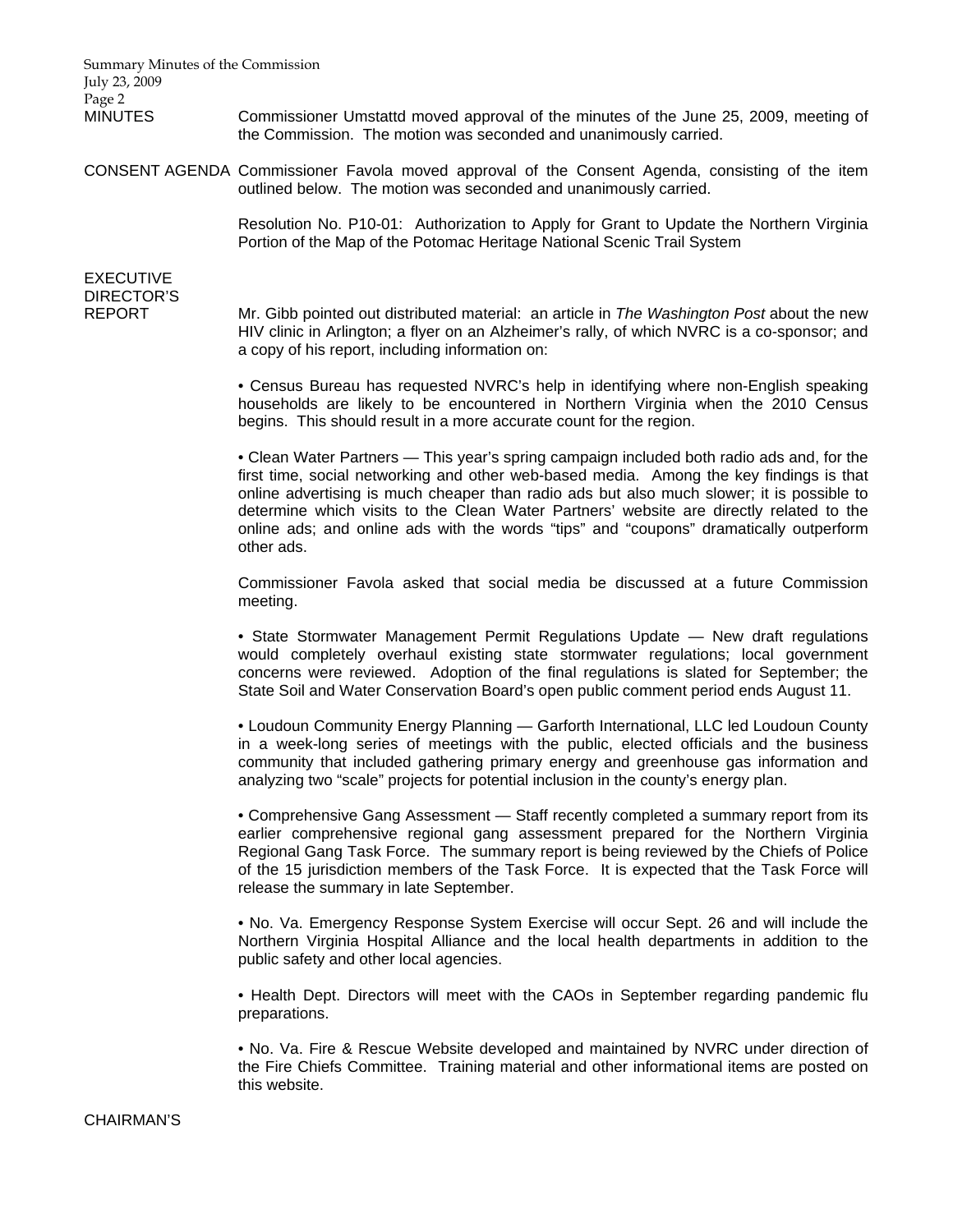Summary Minutes of the Commission July 23, 2009 Page 2

MINUTES Commissioner Umstattd moved approval of the minutes of the June 25, 2009, meeting of the Commission. The motion was seconded and unanimously carried.

CONSENT AGENDA Commissioner Favola moved approval of the Consent Agenda, consisting of the item outlined below. The motion was seconded and unanimously carried.

> Resolution No. P10-01: Authorization to Apply for Grant to Update the Northern Virginia Portion of the Map of the Potomac Heritage National Scenic Trail System

# EXECUTIVE DIRECTOR'S

REPORT Mr. Gibb pointed out distributed material: an article in *The Washington Post* about the new HIV clinic in Arlington; a flyer on an Alzheimer's rally, of which NVRC is a co-sponsor; and a copy of his report, including information on:

> • Census Bureau has requested NVRC's help in identifying where non-English speaking households are likely to be encountered in Northern Virginia when the 2010 Census begins. This should result in a more accurate count for the region.

> • Clean Water Partners — This year's spring campaign included both radio ads and, for the first time, social networking and other web-based media. Among the key findings is that online advertising is much cheaper than radio ads but also much slower; it is possible to determine which visits to the Clean Water Partners' website are directly related to the online ads; and online ads with the words "tips" and "coupons" dramatically outperform other ads.

> Commissioner Favola asked that social media be discussed at a future Commission meeting.

> • State Stormwater Management Permit Regulations Update — New draft regulations would completely overhaul existing state stormwater regulations; local government concerns were reviewed. Adoption of the final regulations is slated for September; the State Soil and Water Conservation Board's open public comment period ends August 11.

> • Loudoun Community Energy Planning — Garforth International, LLC led Loudoun County in a week-long series of meetings with the public, elected officials and the business community that included gathering primary energy and greenhouse gas information and analyzing two "scale" projects for potential inclusion in the county's energy plan.

> • Comprehensive Gang Assessment — Staff recently completed a summary report from its earlier comprehensive regional gang assessment prepared for the Northern Virginia Regional Gang Task Force. The summary report is being reviewed by the Chiefs of Police of the 15 jurisdiction members of the Task Force. It is expected that the Task Force will release the summary in late September.

> • No. Va. Emergency Response System Exercise will occur Sept. 26 and will include the Northern Virginia Hospital Alliance and the local health departments in addition to the public safety and other local agencies.

> • Health Dept. Directors will meet with the CAOs in September regarding pandemic flu preparations.

> • No. Va. Fire & Rescue Website developed and maintained by NVRC under direction of the Fire Chiefs Committee. Training material and other informational items are posted on this website.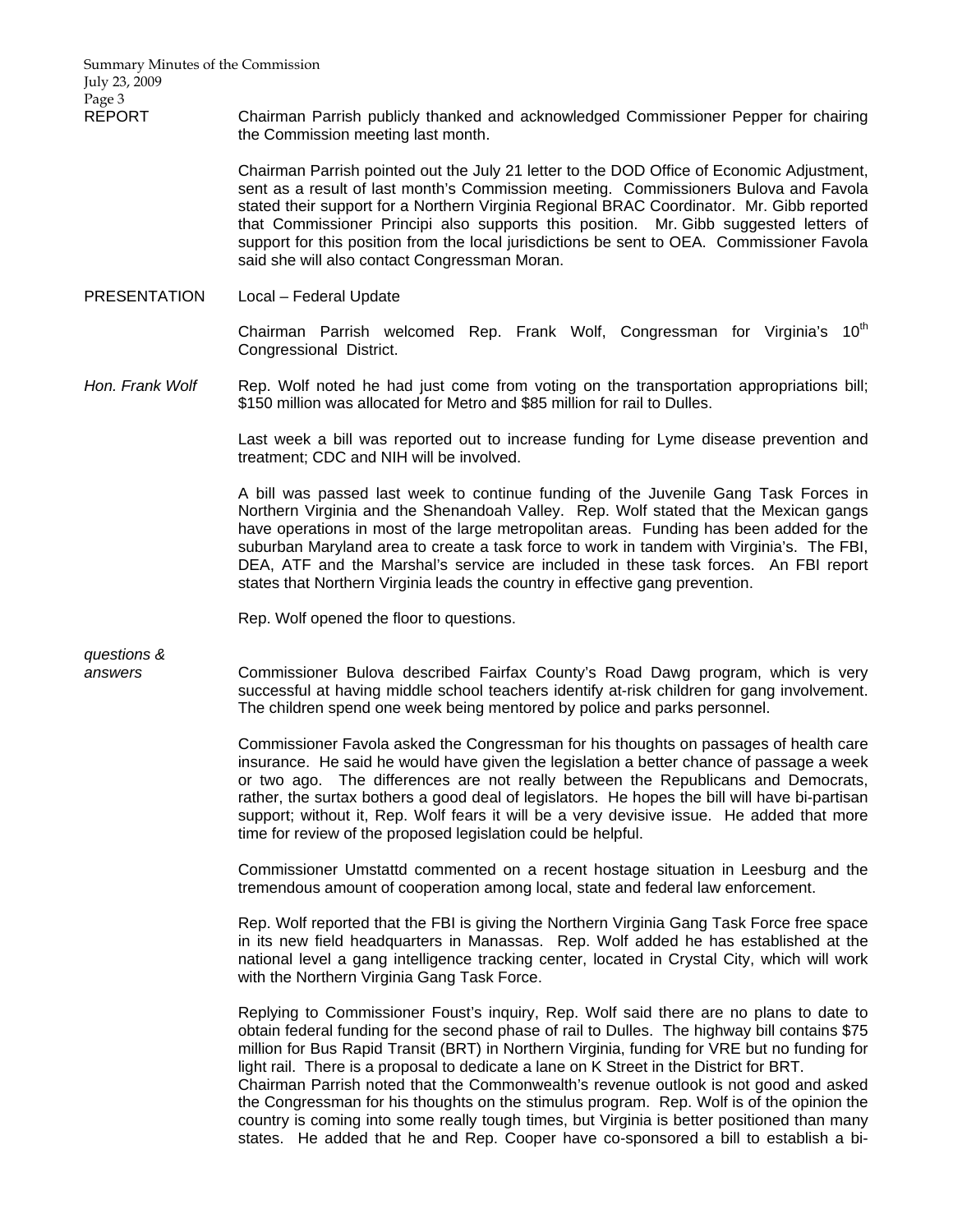Summary Minutes of the Commission July 23, 2009 Page 3

REPORT Chairman Parrish publicly thanked and acknowledged Commissioner Pepper for chairing the Commission meeting last month.

> Chairman Parrish pointed out the July 21 letter to the DOD Office of Economic Adjustment, sent as a result of last month's Commission meeting. Commissioners Bulova and Favola stated their support for a Northern Virginia Regional BRAC Coordinator. Mr. Gibb reported that Commissioner Principi also supports this position. Mr. Gibb suggested letters of support for this position from the local jurisdictions be sent to OEA. Commissioner Favola said she will also contact Congressman Moran.

PRESENTATION Local – Federal Update

Chairman Parrish welcomed Rep. Frank Wolf, Congressman for Virginia's 10<sup>th</sup> Congressional District.

*Hon. Frank Wolf* Rep. Wolf noted he had just come from voting on the transportation appropriations bill; \$150 million was allocated for Metro and \$85 million for rail to Dulles.

> Last week a bill was reported out to increase funding for Lyme disease prevention and treatment; CDC and NIH will be involved.

> A bill was passed last week to continue funding of the Juvenile Gang Task Forces in Northern Virginia and the Shenandoah Valley. Rep. Wolf stated that the Mexican gangs have operations in most of the large metropolitan areas. Funding has been added for the suburban Maryland area to create a task force to work in tandem with Virginia's. The FBI, DEA, ATF and the Marshal's service are included in these task forces. An FBI report states that Northern Virginia leads the country in effective gang prevention.

Rep. Wolf opened the floor to questions.

*questions &* 

*answers* Commissioner Bulova described Fairfax County's Road Dawg program, which is very successful at having middle school teachers identify at-risk children for gang involvement. The children spend one week being mentored by police and parks personnel.

> Commissioner Favola asked the Congressman for his thoughts on passages of health care insurance. He said he would have given the legislation a better chance of passage a week or two ago. The differences are not really between the Republicans and Democrats, rather, the surtax bothers a good deal of legislators. He hopes the bill will have bi-partisan support; without it, Rep. Wolf fears it will be a very devisive issue. He added that more time for review of the proposed legislation could be helpful.

> Commissioner Umstattd commented on a recent hostage situation in Leesburg and the tremendous amount of cooperation among local, state and federal law enforcement.

> Rep. Wolf reported that the FBI is giving the Northern Virginia Gang Task Force free space in its new field headquarters in Manassas. Rep. Wolf added he has established at the national level a gang intelligence tracking center, located in Crystal City, which will work with the Northern Virginia Gang Task Force.

> Replying to Commissioner Foust's inquiry, Rep. Wolf said there are no plans to date to obtain federal funding for the second phase of rail to Dulles. The highway bill contains \$75 million for Bus Rapid Transit (BRT) in Northern Virginia, funding for VRE but no funding for light rail. There is a proposal to dedicate a lane on K Street in the District for BRT.

> Chairman Parrish noted that the Commonwealth's revenue outlook is not good and asked the Congressman for his thoughts on the stimulus program. Rep. Wolf is of the opinion the country is coming into some really tough times, but Virginia is better positioned than many states. He added that he and Rep. Cooper have co-sponsored a bill to establish a bi